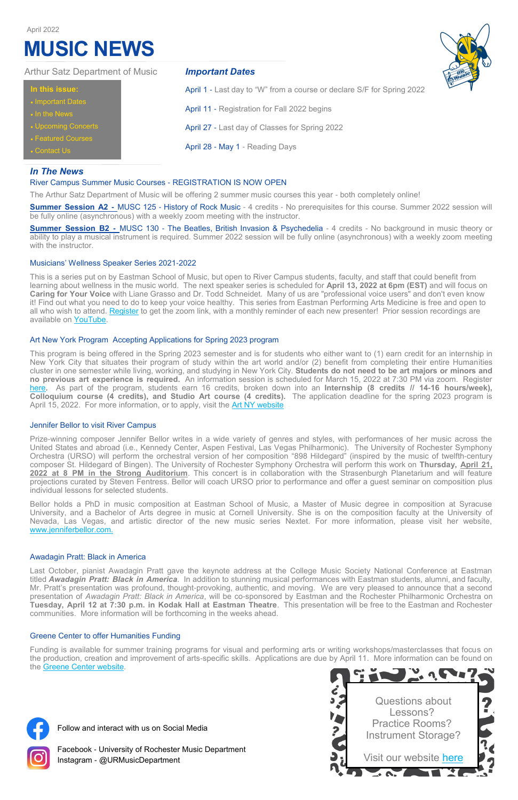# *In The News*

## River Campus Summer Music Courses - REGISTRATION IS NOW OPEN

The Arthur Satz Department of Music will be offering 2 summer music courses this year - both completely online!

**Summer Session A2 -** MUSC 125 - History of Rock Music - 4 credits - No prerequisites for this course. Summer 2022 session will be fully online (asynchronous) with a weekly zoom meeting with the instructor.

This is a series put on by Eastman School of Music, but open to River Campus students, faculty, and staff that could benefit from learning about wellness in the music world. The next speaker series is scheduled for **April 13, 2022 at 6pm (EST)** and will focus on **Caring for Your Voice** with Liane Grasso and Dr. Todd Schneidet. Many of us are "professional voice users" and don't even know it! Find out what you need to do to keep your voice healthy. This series from Eastman Performing Arts Medicine is free and open to all who wish to attend. [Register](https://urmc.zoom.us/webinar/register/WN_BVVcTmj5Sy6b8z5XwMmm5Q) to get the zoom link, with a monthly reminder of each new presenter! Prior session recordings are available on [YouTube.](https://www.youtube.com/watch?v=_8_dwjEuLBM)

**Summer Session B2 -** MUSC 130 - The Beatles, British Invasion & Psychedelia - 4 credits - No background in music theory or ability to play a musical instrument is required. Summer 2022 session will be fully online (asynchronous) with a weekly zoom meeting with the instructor.

#### Musicians' Wellness Speaker Series 2021-2022

This program is being offered in the Spring 2023 semester and is for students who either want to (1) earn credit for an internship in New York City that situates their program of study within the art world and/or (2) benefit from completing their entire Humanities cluster in one semester while living, working, and studying in New York City. **Students do not need to be art majors or minors and no previous art experience is required.** An information session is scheduled for March 15, 2022 at 7:30 PM via zoom. Register [here.](https://docs.google.com/forms/d/e/1FAIpQLSdMhUQMTg1smyAlL9wwJkATAs-NlIiVMRqymeGeb_InW-Ycyw/viewform) As part of the program, students earn 16 credits, broken down into an **Internship (8 credits // 14-16 hours/week), Colloquium course (4 credits), and Studio Art course (4 credits).** The application deadline for the spring 2023 program is April 15, 2022. For more information, or to apply, visit the **[Art NY website](https://www.urartnewyork.com/)** 

## Art New York Program Accepting Applications for Spring 2023 program

#### Jennifer Bellor to visit River Campus

Prize-winning composer Jennifer Bellor writes in a wide variety of genres and styles, with performances of her music across the United States and abroad (i.e., Kennedy Center, Aspen Festival, Las Vegas Philharmonic). The University of Rochester Symphony Orchestra (URSO) will perform the orchestral version of her composition "898 Hildegard" (inspired by the music of twelfth-century composer St. Hildegard of Bingen). The University of Rochester Symphony Orchestra will perform this work on **Thursday, April 21, 2022 at 8 PM in the Strong Auditorium**. This concert is in collaboration with the Strasenburgh Planetarium and will feature projections curated by Steven Fentress. Bellor will coach URSO prior to performance and offer a guest seminar on composition plus individual lessons for selected students.

Bellor holds a PhD in music composition at Eastman School of Music, a Master of Music degree in composition at Syracuse University, and a Bachelor of Arts degree in music at Cornell University. She is on the composition faculty at the University of Nevada, Las Vegas, and artistic director of the new music series Nextet. For more information, please visit her website, [www.jenniferbellor.com.](http://www.jenniferbellor.com.)

## Awadagin Pratt: Black in America

Last October, pianist Awadagin Pratt gave the keynote address at the College Music Society National Conference at Eastman titled *Awadagin Pratt: Black in America.* In addition to stunning musical performances with Eastman students, alumni, and faculty, Mr. Pratt's presentation was profound, thought-provoking, authentic, and moving. We are very pleased to announce that a second presentation of *Awadagin Pratt: Black in America*, will be co-sponsored by Eastman and the Rochester Philharmonic Orchestra on **Tuesday, April 12 at 7:30 p.m. in Kodak Hall at Eastman Theatre**. This presentation will be free to the Eastman and Rochester communities. More information will be forthcoming in the weeks ahead.

#### Greene Center to offer Humanities Funding

Funding is available for summer training programs for visual and performing arts or writing workshops/masterclasses that focus on the production, creation and improvement of arts-specific skills. Applications are due by April 11. More information can be found on the [Greene Center website.](https://careereducation.rochester.edu/experiences/creative-experiential-learning-funding/)



# *Important Dates*

April 1 - Last day to "W" from a course or declare S/F for Spring 2022

April 11 - Registration for Fall 2022 begins

April 27 - Last day of Classes for Spring 2022

April 28 - May 1 - Reading Days

|  |  | In this issue: |
|--|--|----------------|
|  |  |                |
|  |  |                |

- Important Date
- In the News
- Upcoming Concerts
- Featured Courses
- **Contact Us**

### Arthur Satz Department of Music

# **MUSIC NEWS**



April 2022

Follow and interact with us on Social Media



Facebook - University of Rochester Music Department Instagram - @URMusicDepartment